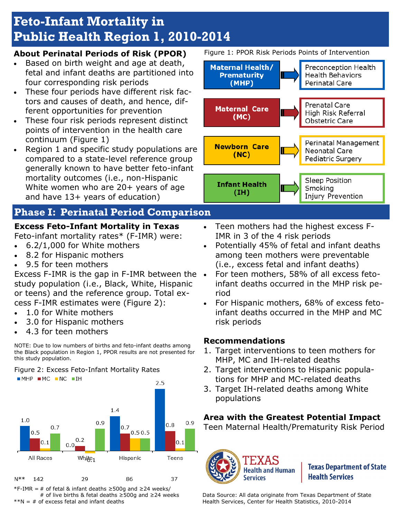# **Feto-Infant Mortality in Public Health Region 1, 2010-2014**

#### **About Perinatal Periods of Risk (PPOR)**

- Based on birth weight and age at death, fetal and infant deaths are partitioned into four corresponding risk periods
- These four periods have different risk factors and causes of death, and hence, different opportunities for prevention
- These four risk periods represent distinct points of intervention in the health care continuum (Figure 1)
- Region 1 and specific study populations are compared to a state-level reference group generally known to have better feto-infant mortality outcomes (i.e., non-Hispanic White women who are 20+ years of age and have 13+ years of education)

# **Phase I: Perinatal Period Comparison**

# **Excess Feto-Infant Mortality in Texas**

Feto-infant mortality rates\* (F-IMR) were:

- 6.2/1,000 for White mothers
- 8.2 for Hispanic mothers
- 9.5 for teen mothers

Excess F-IMR is the gap in F-IMR between the study population (i.e., Black, White, Hispanic or teens) and the reference group. Total excess F-IMR estimates were (Figure 2):

- 1.0 for White mothers
- 3.0 for Hispanic mothers
- 4.3 for teen mothers

NOTE: Due to low numbers of births and feto-infant deaths among the Black population in Region 1, PPOR results are not presented for this study population.

Figure 2: Excess Feto-Infant Mortality Rates



\*F-IMR = # of fetal & infant deaths ≥500g and ≥24 weeks/ # of live births & fetal deaths ≥500g and ≥24 weeks  $*N = #$  of excess fetal and infant deaths

Figure 1: PPOR Risk Periods Points of Intervention



- Teen mothers had the highest excess F-IMR in 3 of the 4 risk periods
- Potentially 45% of fetal and infant deaths among teen mothers were preventable (i.e., excess fetal and infant deaths)
- For teen mothers, 58% of all excess fetoinfant deaths occurred in the MHP risk period
- For Hispanic mothers, 68% of excess fetoinfant deaths occurred in the MHP and MC risk periods

#### **Recommendations**

- 1. Target interventions to teen mothers for MHP, MC and IH-related deaths
- 2. Target interventions to Hispanic populations for MHP and MC-related deaths
- 3. Target IH-related deaths among White populations

### **Area with the Greatest Potential Impact**

Teen Maternal Health/Prematurity Risk Period



**Texas Department of State Health Services** 

Data Source: All data originate from Texas Department of State Health Services, Center for Health Statistics, 2010-2014